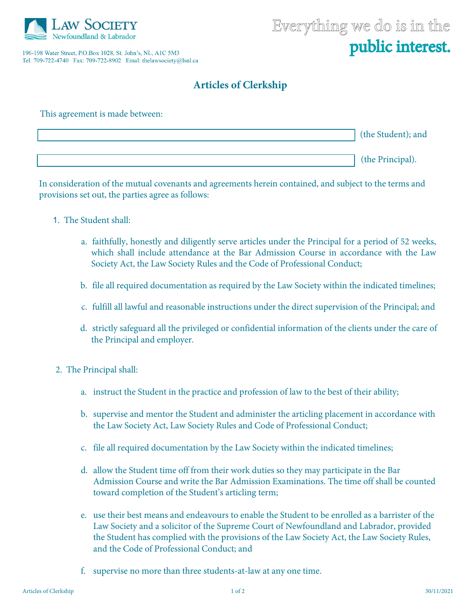

196-198 Water Street, P.O.Box 1028, St. John's, NL, A1C 5M3 Tel: 709-722-4740 Fax: 709-722-8902 Emal: thelawsociety@lsnl.ca

## **Articles of Clerkship**

| This agreement is made between: |                    |
|---------------------------------|--------------------|
|                                 | (the Student); and |
|                                 | (the Principal).   |

In consideration of the mutual covenants and agreements herein contained, and subject to the terms and provisions set out, the parties agree as follows:

- 1. The Student shall:
	- a. faithfully, honestly and diligently serve articles under the Principal for a period of 52 weeks, which shall include attendance at the Bar Admission Course in accordance with the Law Society Act, the Law Society Rules and the Code of Professional Conduct;
	- b. file all required documentation as required by the Law Society within the indicated timelines;
	- c. fulfill all lawful and reasonable instructions under the direct supervision of the Principal; and
	- d. strictly safeguard all the privileged or confidential information of the clients under the care of the Principal and employer.
- 2. The Principal shall:
	- a. instruct the Student in the practice and profession of law to the best of their ability;
	- b. supervise and mentor the Student and administer the articling placement in accordance with the Law Society Act, Law Society Rules and Code of Professional Conduct;
	- c. file all required documentation by the Law Society within the indicated timelines;
	- d. allow the Student time off from their work duties so they may participate in the Bar Admission Course and write the Bar Admission Examinations. The time off shall be counted toward completion of the Student's articling term;
	- e. use their best means and endeavours to enable the Student to be enrolled as a barrister of the Law Society and a solicitor of the Supreme Court of Newfoundland and Labrador, provided the Student has complied with the provisions of the Law Society Act, the Law Society Rules, and the Code of Professional Conduct; and
	- f. supervise no more than three students-at-law at any one time.